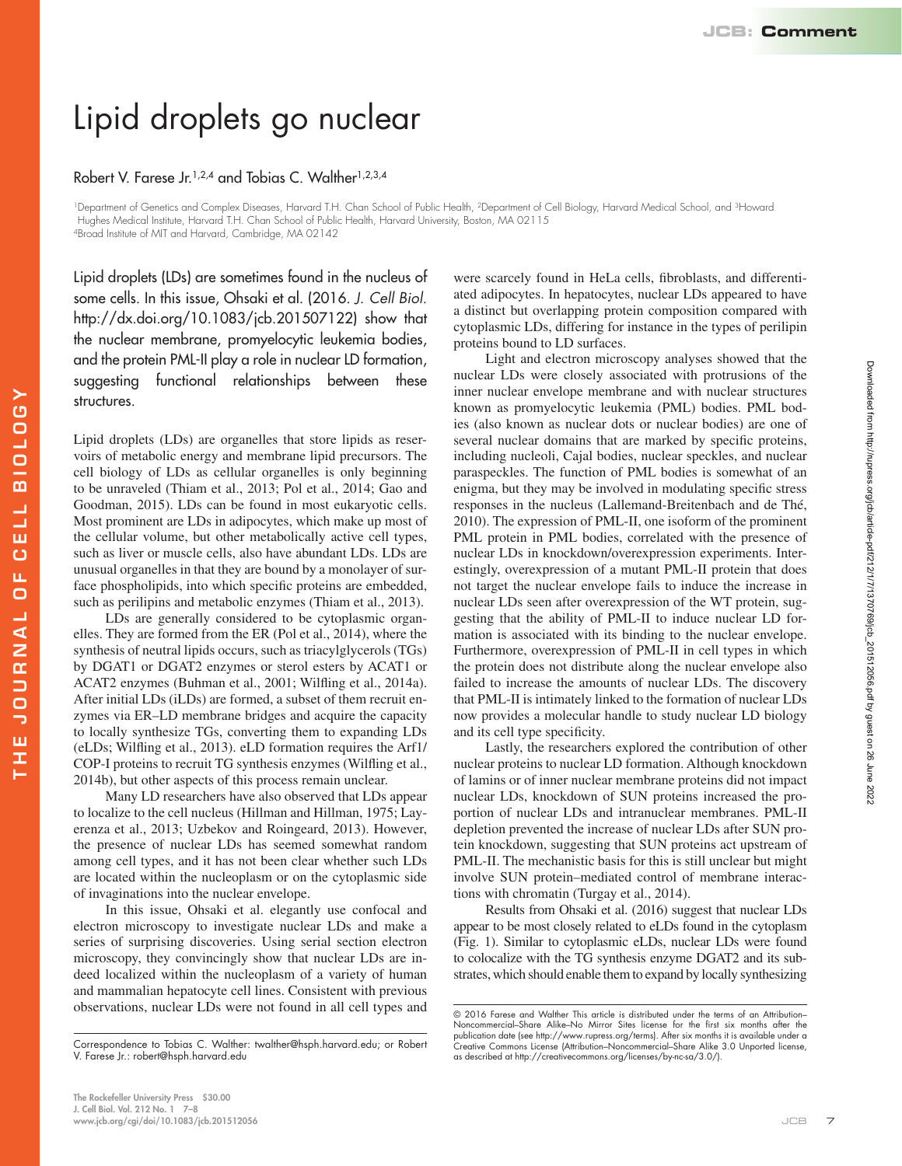## Lipid droplets go nuclear

## Robert V. Farese Jr.<sup>1,2,4</sup> and Tobias C. Walther<sup>1,2,3,4</sup>

1Department of Genetics and Complex Diseases, Harvard T.H. Chan School of Public Health, 2Department of Cell Biology, Harvard Medical School, and 3Howard Hughes Medical Institute, Harvard T.H. Chan School of Public Health, Harvard University, Boston, MA 02115 4Broad Institute of MIT and Harvard, Cambridge, MA 02142

Lipid droplets (LDs) are sometimes found in the nucleus of some cells. In this issue, Ohsaki et al. (2016. *J. Cell Biol.* [http://dx.doi.org/10.1083/jcb.201507122\)](http://dx.doi.org/10.1083/jcb.201507122) show that the nuclear membrane, promyelocytic leukemia bodies, and the protein PML-II play a role in nuclear LD formation, suggesting functional relationships between these structures.

Lipid droplets (LDs) are organelles that store lipids as reservoirs of metabolic energy and membrane lipid precursors. The cell biology of LDs as cellular organelles is only beginning to be unraveled ([Thiam et al., 2013;](#page-1-0) [Pol et al., 2014;](#page-1-1) [Gao and](#page-1-2) [Goodman, 2015](#page-1-2)). LDs can be found in most eukaryotic cells. Most prominent are LDs in adipocytes, which make up most of the cellular volume, but other metabolically active cell types, such as liver or muscle cells, also have abundant LDs. LDs are unusual organelles in that they are bound by a monolayer of surface phospholipids, into which specific proteins are embedded, such as perilipins and metabolic enzymes [\(Thiam et al., 2013](#page-1-0)).

LDs are generally considered to be cytoplasmic organelles. They are formed from the ER ([Pol et al., 2014](#page-1-1)), where the synthesis of neutral lipids occurs, such as triacylglycerols (TGs) by DGAT1 or DGAT2 enzymes or sterol esters by ACAT1 or ACAT2 enzymes ([Buhman et al., 2001;](#page-1-3) [Wilfling et al., 2014a](#page-1-4)). After initial LDs (iLDs) are formed, a subset of them recruit enzymes via ER–LD membrane bridges and acquire the capacity to locally synthesize TGs, converting them to expanding LDs (eLDs; [Wilfling et al., 2013\)](#page-1-5). eLD formation requires the Arf1/ COP-I proteins to recruit TG synthesis enzymes [\(Wilfling et al.,](#page-1-6)  [2014b\)](#page-1-6), but other aspects of this process remain unclear.

Many LD researchers have also observed that LDs appear to localize to the cell nucleus ([Hillman and Hillman, 1975](#page-1-7); [Lay](#page-1-8)[erenza et al., 2013](#page-1-8); [Uzbekov and Roingeard, 2013](#page-1-9)). However, the presence of nuclear LDs has seemed somewhat random among cell types, and it has not been clear whether such LDs are located within the nucleoplasm or on the cytoplasmic side of invaginations into the nuclear envelope.

In this issue, Ohsaki et al. elegantly use confocal and electron microscopy to investigate nuclear LDs and make a series of surprising discoveries. Using serial section electron microscopy, they convincingly show that nuclear LDs are indeed localized within the nucleoplasm of a variety of human and mammalian hepatocyte cell lines. Consistent with previous observations, nuclear LDs were not found in all cell types and were scarcely found in HeLa cells, fibroblasts, and differentiated adipocytes. In hepatocytes, nuclear LDs appeared to have a distinct but overlapping protein composition compared with cytoplasmic LDs, differing for instance in the types of perilipin proteins bound to LD surfaces.

Light and electron microscopy analyses showed that the nuclear LDs were closely associated with protrusions of the inner nuclear envelope membrane and with nuclear structures known as promyelocytic leukemia (PML) bodies. PML bodies (also known as nuclear dots or nuclear bodies) are one of several nuclear domains that are marked by specific proteins, including nucleoli, Cajal bodies, nuclear speckles, and nuclear paraspeckles. The function of PML bodies is somewhat of an enigma, but they may be involved in modulating specific stress responses in the nucleus [\(Lallemand-Breitenbach and de Thé,](#page-1-10) [2010](#page-1-10)). The expression of PML-II, one isoform of the prominent PML protein in PML bodies, correlated with the presence of nuclear LDs in knockdown/overexpression experiments. Interestingly, overexpression of a mutant PML-II protein that does not target the nuclear envelope fails to induce the increase in nuclear LDs seen after overexpression of the WT protein, suggesting that the ability of PML-II to induce nuclear LD formation is associated with its binding to the nuclear envelope. Furthermore, overexpression of PML-II in cell types in which the protein does not distribute along the nuclear envelope also failed to increase the amounts of nuclear LDs. The discovery that PML-II is intimately linked to the formation of nuclear LDs now provides a molecular handle to study nuclear LD biology and its cell type specificity.

Lastly, the researchers explored the contribution of other nuclear proteins to nuclear LD formation. Although knockdown of lamins or of inner nuclear membrane proteins did not impact nuclear LDs, knockdown of SUN proteins increased the proportion of nuclear LDs and intranuclear membranes. PML-II depletion prevented the increase of nuclear LDs after SUN protein knockdown, suggesting that SUN proteins act upstream of PML-II. The mechanistic basis for this is still unclear but might involve SUN protein–mediated control of membrane interactions with chromatin [\(Turgay et al., 2014\)](#page-1-11).

Results from [Ohsaki et al. \(2016\)](#page-1-12) suggest that nuclear LDs appear to be most closely related to eLDs found in the cytoplasm [\(Fig. 1](#page-1-13)). Similar to cytoplasmic eLDs, nuclear LDs were found to colocalize with the TG synthesis enzyme DGAT2 and its substrates, which should enable them to expand by locally synthesizing

Downloaded from http://rupress.org/jcb/article-pdf/212117/1370769/jcb\_201512056.pdf by guest on 26 June 2022 Downloaded from http://rupress.org/jcb/article-pdf/212/1/7/1370769/jcb\_201512056.pdf by guest on 26 June 2022

Correspondence to Tobias C. Walther: [twalther@hsph.harvard.edu](mailto:); or Robert V. Farese Jr.: [robert@hsph.harvard.edu](mailto:)

<sup>© 2016</sup> Farese and Walther This article is distributed under the terms of an Attribution– Noncommercial–Share Alike–No Mirror Sites license for the first six months after the publication date (see [http://www.rupress.org/terms\)](http://www.rupress.org/terms). After six months it is available under a Creative Commons License (Attribution–Noncommercial–Share Alike 3.0 Unported license, as described at <http://creativecommons.org/licenses/by-nc-sa/3.0/>).